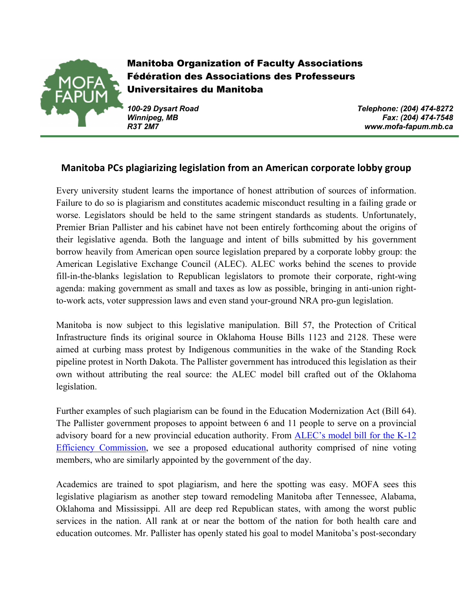

Manitoba Organization of Faculty Associations Fédération des Associations des Professeurs Universitaires du Manitoba

*100-29 Dysart Road Telephone: (204) 474-8272 Winnipeg, MB Fax: (204) 474-7548 R3T 2M7 www.mofa-fapum.mb.ca*

## **Manitoba PCs plagiarizing legislation from an American corporate lobby group**

Every university student learns the importance of honest attribution of sources of information. Failure to do so is plagiarism and constitutes academic misconduct resulting in a failing grade or worse. Legislators should be held to the same stringent standards as students. Unfortunately, Premier Brian Pallister and his cabinet have not been entirely forthcoming about the origins of their legislative agenda. Both the language and intent of bills submitted by his government borrow heavily from American open source legislation prepared by a corporate lobby group: the American Legislative Exchange Council (ALEC). ALEC works behind the scenes to provide fill-in-the-blanks legislation to Republican legislators to promote their corporate, right-wing agenda: making government as small and taxes as low as possible, bringing in anti-union rightto-work acts, voter suppression laws and even stand your-ground NRA pro-gun legislation.

Manitoba is now subject to this legislative manipulation. Bill 57, the Protection of Critical Infrastructure finds its original source in Oklahoma House Bills 1123 and 2128. These were aimed at curbing mass protest by Indigenous communities in the wake of the Standing Rock pipeline protest in North Dakota. The Pallister government has introduced this legislation as their own without attributing the real source: the ALEC model bill crafted out of the Oklahoma legislation.

Further examples of such plagiarism can be found in the Education Modernization Act (Bill 64). The Pallister government proposes to appoint between 6 and 11 people to serve on a provincial advisory board for a new provincial education authority. From **ALEC's model bill for the K-12** Efficiency Commission, we see a proposed educational authority comprised of nine voting members, who are similarly appointed by the government of the day.

Academics are trained to spot plagiarism, and here the spotting was easy. MOFA sees this legislative plagiarism as another step toward remodeling Manitoba after Tennessee, Alabama, Oklahoma and Mississippi. All are deep red Republican states, with among the worst public services in the nation. All rank at or near the bottom of the nation for both health care and education outcomes. Mr. Pallister has openly stated his goal to model Manitoba's post-secondary